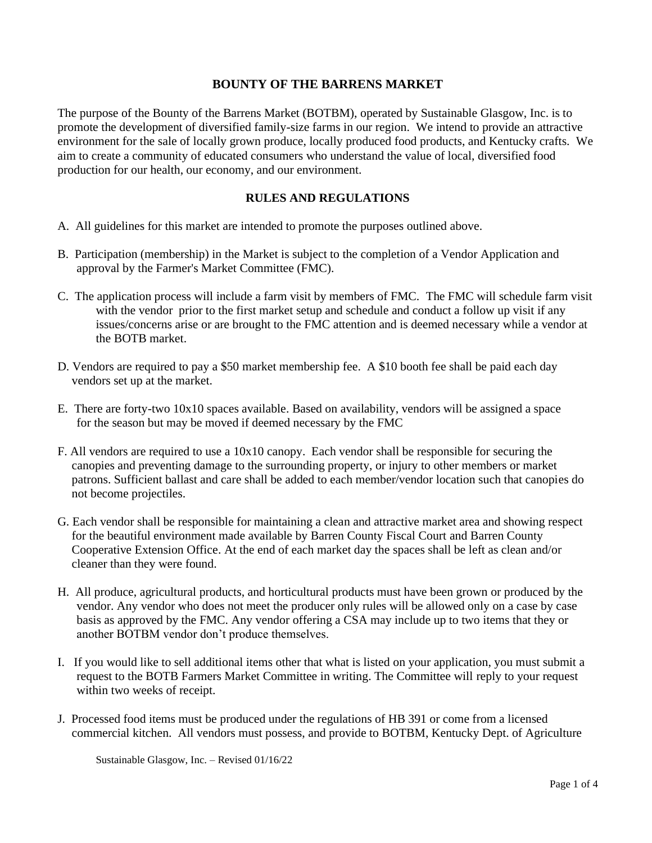### **BOUNTY OF THE BARRENS MARKET**

The purpose of the Bounty of the Barrens Market (BOTBM), operated by Sustainable Glasgow, Inc. is to promote the development of diversified family-size farms in our region. We intend to provide an attractive environment for the sale of locally grown produce, locally produced food products, and Kentucky crafts. We aim to create a community of educated consumers who understand the value of local, diversified food production for our health, our economy, and our environment.

#### **RULES AND REGULATIONS**

- A. All guidelines for this market are intended to promote the purposes outlined above.
- B. Participation (membership) in the Market is subject to the completion of a Vendor Application and approval by the Farmer's Market Committee (FMC).
- C. The application process will include a farm visit by members of FMC. The FMC will schedule farm visit with the vendor prior to the first market setup and schedule and conduct a follow up visit if any issues/concerns arise or are brought to the FMC attention and is deemed necessary while a vendor at the BOTB market.
- D. Vendors are required to pay a \$50 market membership fee. A \$10 booth fee shall be paid each day vendors set up at the market.
- E. There are forty-two 10x10 spaces available. Based on availability, vendors will be assigned a space for the season but may be moved if deemed necessary by the FMC
- F. All vendors are required to use a  $10x10$  canopy. Each vendor shall be responsible for securing the canopies and preventing damage to the surrounding property, or injury to other members or market patrons. Sufficient ballast and care shall be added to each member/vendor location such that canopies do not become projectiles.
- G. Each vendor shall be responsible for maintaining a clean and attractive market area and showing respect for the beautiful environment made available by Barren County Fiscal Court and Barren County Cooperative Extension Office. At the end of each market day the spaces shall be left as clean and/or cleaner than they were found.
- H. All produce, agricultural products, and horticultural products must have been grown or produced by the vendor. Any vendor who does not meet the producer only rules will be allowed only on a case by case basis as approved by the FMC. Any vendor offering a CSA may include up to two items that they or another BOTBM vendor don't produce themselves.
- I. If you would like to sell additional items other that what is listed on your application, you must submit a request to the BOTB Farmers Market Committee in writing. The Committee will reply to your request within two weeks of receipt.
- J. Processed food items must be produced under the regulations of HB 391 or come from a licensed commercial kitchen. All vendors must possess, and provide to BOTBM, Kentucky Dept. of Agriculture

Sustainable Glasgow, Inc. – Revised 01/16/22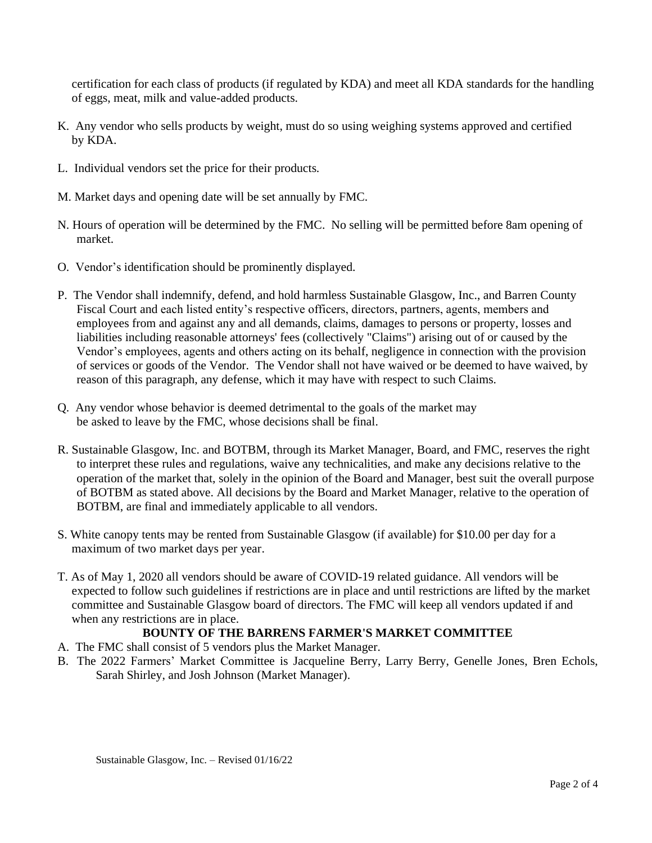certification for each class of products (if regulated by KDA) and meet all KDA standards for the handling of eggs, meat, milk and value-added products.

- K. Any vendor who sells products by weight, must do so using weighing systems approved and certified by KDA.
- L. Individual vendors set the price for their products.
- M. Market days and opening date will be set annually by FMC.
- N. Hours of operation will be determined by the FMC. No selling will be permitted before 8am opening of market.
- O. Vendor's identification should be prominently displayed.
- P. The Vendor shall indemnify, defend, and hold harmless Sustainable Glasgow, Inc., and Barren County Fiscal Court and each listed entity's respective officers, directors, partners, agents, members and employees from and against any and all demands, claims, damages to persons or property, losses and liabilities including reasonable attorneys' fees (collectively "Claims") arising out of or caused by the Vendor's employees, agents and others acting on its behalf, negligence in connection with the provision of services or goods of the Vendor. The Vendor shall not have waived or be deemed to have waived, by reason of this paragraph, any defense, which it may have with respect to such Claims.
- Q. Any vendor whose behavior is deemed detrimental to the goals of the market may be asked to leave by the FMC, whose decisions shall be final.
- R. Sustainable Glasgow, Inc. and BOTBM, through its Market Manager, Board, and FMC, reserves the right to interpret these rules and regulations, waive any technicalities, and make any decisions relative to the operation of the market that, solely in the opinion of the Board and Manager, best suit the overall purpose of BOTBM as stated above. All decisions by the Board and Market Manager, relative to the operation of BOTBM, are final and immediately applicable to all vendors.
- S. White canopy tents may be rented from Sustainable Glasgow (if available) for \$10.00 per day for a maximum of two market days per year.
- T. As of May 1, 2020 all vendors should be aware of COVID-19 related guidance. All vendors will be expected to follow such guidelines if restrictions are in place and until restrictions are lifted by the market committee and Sustainable Glasgow board of directors. The FMC will keep all vendors updated if and when any restrictions are in place.

## **BOUNTY OF THE BARRENS FARMER'S MARKET COMMITTEE**

- A. The FMC shall consist of 5 vendors plus the Market Manager.
- B. The 2022 Farmers' Market Committee is Jacqueline Berry, Larry Berry, Genelle Jones, Bren Echols, Sarah Shirley, and Josh Johnson (Market Manager).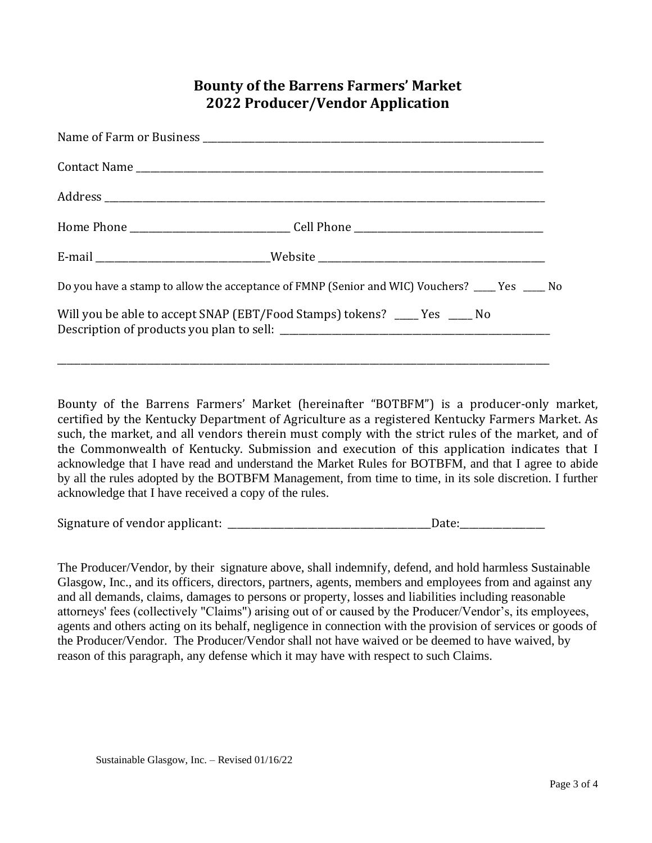# **Bounty of the Barrens Farmers' Market 2022 Producer/Vendor Application**

| E-mail ________________________________Website _________________________________                  |  |
|---------------------------------------------------------------------------------------------------|--|
| Do you have a stamp to allow the acceptance of FMNP (Senior and WIC) Vouchers? _____ Yes _____ No |  |
| Will you be able to accept SNAP (EBT/Food Stamps) tokens? ____ Yes ____ No                        |  |
|                                                                                                   |  |

Bounty of the Barrens Farmers' Market (hereinafter "BOTBFM") is a producer-only market, certified by the Kentucky Department of Agriculture as a registered Kentucky Farmers Market. As such, the market, and all vendors therein must comply with the strict rules of the market, and of the Commonwealth of Kentucky. Submission and execution of this application indicates that I acknowledge that I have read and understand the Market Rules for BOTBFM, and that I agree to abide by all the rules adopted by the BOTBFM Management, from time to time, in its sole discretion. I further acknowledge that I have received a copy of the rules.

Signature of vendor applicant: \_\_\_\_\_\_\_\_\_\_\_\_\_\_\_\_\_\_\_\_\_\_\_\_\_\_\_\_\_\_\_\_\_\_\_\_\_\_\_\_\_\_\_Date:\_\_\_\_\_\_\_\_\_\_\_\_\_\_\_\_\_\_

The Producer/Vendor, by their signature above, shall indemnify, defend, and hold harmless Sustainable Glasgow, Inc., and its officers, directors, partners, agents, members and employees from and against any and all demands, claims, damages to persons or property, losses and liabilities including reasonable attorneys' fees (collectively "Claims") arising out of or caused by the Producer/Vendor's, its employees, agents and others acting on its behalf, negligence in connection with the provision of services or goods of the Producer/Vendor. The Producer/Vendor shall not have waived or be deemed to have waived, by reason of this paragraph, any defense which it may have with respect to such Claims.